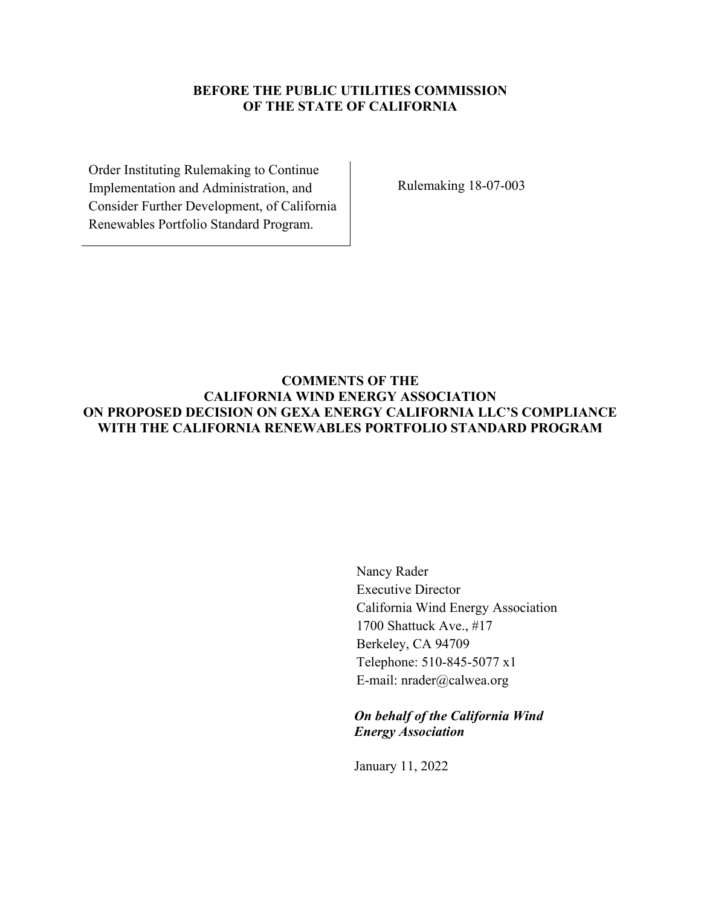#### **BEFORE THE PUBLIC UTILITIES COMMISSION OF THE STATE OF CALIFORNIA**

Order Instituting Rulemaking to Continue Implementation and Administration, and Consider Further Development, of California Renewables Portfolio Standard Program.

Rulemaking 18-07-003

## **COMMENTS OF THE CALIFORNIA WIND ENERGY ASSOCIATION ON PROPOSED DECISION ON GEXA ENERGY CALIFORNIA LLC'S COMPLIANCE WITH THE CALIFORNIA RENEWABLES PORTFOLIO STANDARD PROGRAM**

Nancy Rader Executive Director California Wind Energy Association 1700 Shattuck Ave., #17 Berkeley, CA 94709 Telephone: 510-845-5077 x1 E-mail: nrader@calwea.org

*On behalf of the California Wind Energy Association*

January 11, 2022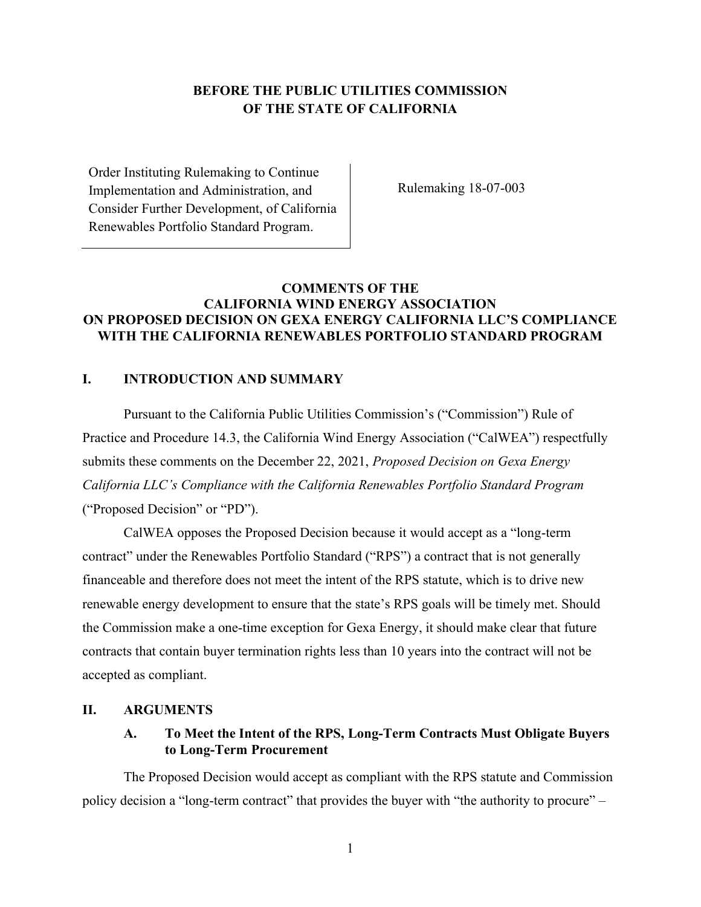# **BEFORE THE PUBLIC UTILITIES COMMISSION OF THE STATE OF CALIFORNIA**

Order Instituting Rulemaking to Continue Implementation and Administration, and Consider Further Development, of California Renewables Portfolio Standard Program.

Rulemaking 18-07-003

### **COMMENTS OF THE CALIFORNIA WIND ENERGY ASSOCIATION ON PROPOSED DECISION ON GEXA ENERGY CALIFORNIA LLC'S COMPLIANCE WITH THE CALIFORNIA RENEWABLES PORTFOLIO STANDARD PROGRAM**

# **I. INTRODUCTION AND SUMMARY**

Pursuant to the California Public Utilities Commission's ("Commission") Rule of Practice and Procedure 14.3, the California Wind Energy Association ("CalWEA") respectfully submits these comments on the December 22, 2021, *Proposed Decision on Gexa Energy California LLC's Compliance with the California Renewables Portfolio Standard Program* ("Proposed Decision" or "PD").

CalWEA opposes the Proposed Decision because it would accept as a "long-term contract" under the Renewables Portfolio Standard ("RPS") a contract that is not generally financeable and therefore does not meet the intent of the RPS statute, which is to drive new renewable energy development to ensure that the state's RPS goals will be timely met. Should the Commission make a one-time exception for Gexa Energy, it should make clear that future contracts that contain buyer termination rights less than 10 years into the contract will not be accepted as compliant.

#### **II. ARGUMENTS**

#### **A. To Meet the Intent of the RPS, Long-Term Contracts Must Obligate Buyers to Long-Term Procurement**

The Proposed Decision would accept as compliant with the RPS statute and Commission policy decision a "long-term contract" that provides the buyer with "the authority to procure" –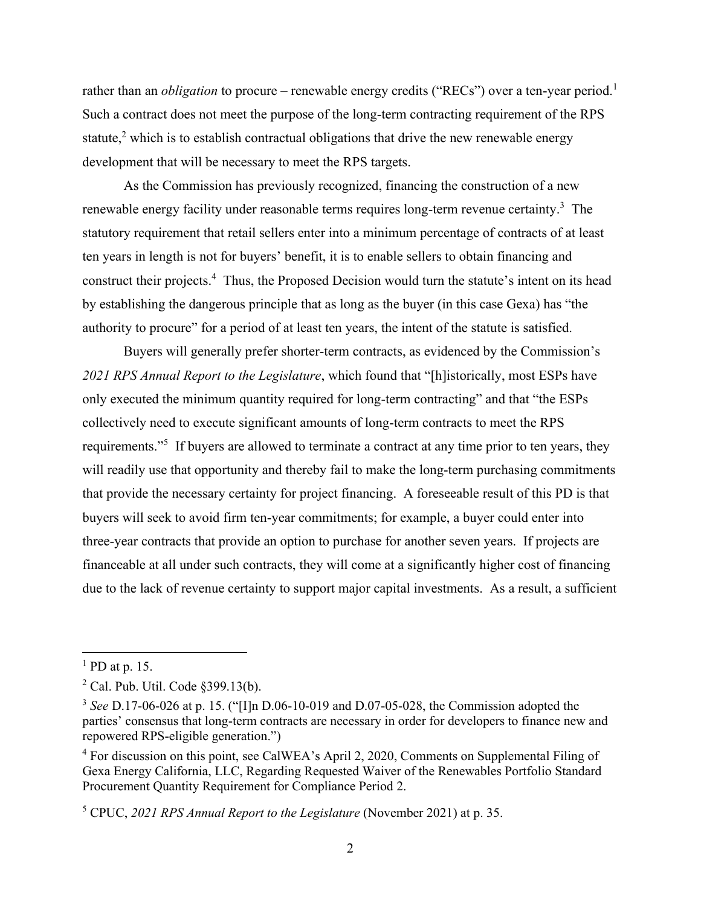rather than an *obligation* to procure – renewable energy credits ("RECs") over a ten-year period.<sup>1</sup> Such a contract does not meet the purpose of the long-term contracting requirement of the RPS statute,<sup>2</sup> which is to establish contractual obligations that drive the new renewable energy development that will be necessary to meet the RPS targets.

As the Commission has previously recognized, financing the construction of a new renewable energy facility under reasonable terms requires long-term revenue certainty.<sup>3</sup> The statutory requirement that retail sellers enter into a minimum percentage of contracts of at least ten years in length is not for buyers' benefit, it is to enable sellers to obtain financing and construct their projects.<sup>4</sup> Thus, the Proposed Decision would turn the statute's intent on its head by establishing the dangerous principle that as long as the buyer (in this case Gexa) has "the authority to procure" for a period of at least ten years, the intent of the statute is satisfied.

Buyers will generally prefer shorter-term contracts, as evidenced by the Commission's *2021 RPS Annual Report to the Legislature*, which found that "[h]istorically, most ESPs have only executed the minimum quantity required for long-term contracting" and that "the ESPs collectively need to execute significant amounts of long-term contracts to meet the RPS requirements."<sup>5</sup> If buyers are allowed to terminate a contract at any time prior to ten years, they will readily use that opportunity and thereby fail to make the long-term purchasing commitments that provide the necessary certainty for project financing. A foreseeable result of this PD is that buyers will seek to avoid firm ten-year commitments; for example, a buyer could enter into three-year contracts that provide an option to purchase for another seven years. If projects are financeable at all under such contracts, they will come at a significantly higher cost of financing due to the lack of revenue certainty to support major capital investments. As a result, a sufficient

 $<sup>1</sup>$  PD at p. 15.</sup>

 $2$  Cal. Pub. Util. Code  $\S 399.13(b)$ .

<sup>3</sup> *See* D.17-06-026 at p. 15. ("[I]n D.06-10-019 and D.07-05-028, the Commission adopted the parties' consensus that long-term contracts are necessary in order for developers to finance new and repowered RPS-eligible generation.")

<sup>&</sup>lt;sup>4</sup> For discussion on this point, see CalWEA's April 2, 2020, Comments on Supplemental Filing of Gexa Energy California, LLC, Regarding Requested Waiver of the Renewables Portfolio Standard Procurement Quantity Requirement for Compliance Period 2.

<sup>5</sup> CPUC, *2021 RPS Annual Report to the Legislature* (November 2021) at p. 35.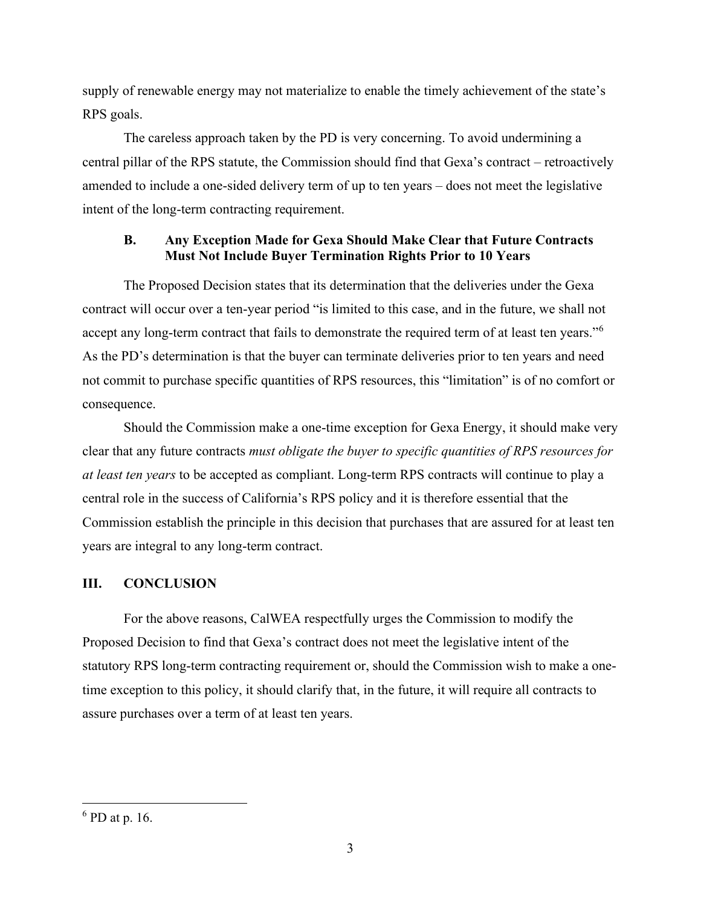supply of renewable energy may not materialize to enable the timely achievement of the state's RPS goals.

The careless approach taken by the PD is very concerning. To avoid undermining a central pillar of the RPS statute, the Commission should find that Gexa's contract – retroactively amended to include a one-sided delivery term of up to ten years – does not meet the legislative intent of the long-term contracting requirement.

## **B. Any Exception Made for Gexa Should Make Clear that Future Contracts Must Not Include Buyer Termination Rights Prior to 10 Years**

The Proposed Decision states that its determination that the deliveries under the Gexa contract will occur over a ten-year period "is limited to this case, and in the future, we shall not accept any long-term contract that fails to demonstrate the required term of at least ten years."<sup>6</sup> As the PD's determination is that the buyer can terminate deliveries prior to ten years and need not commit to purchase specific quantities of RPS resources, this "limitation" is of no comfort or consequence.

Should the Commission make a one-time exception for Gexa Energy, it should make very clear that any future contracts *must obligate the buyer to specific quantities of RPS resources for at least ten years* to be accepted as compliant. Long-term RPS contracts will continue to play a central role in the success of California's RPS policy and it is therefore essential that the Commission establish the principle in this decision that purchases that are assured for at least ten years are integral to any long-term contract.

# **III. CONCLUSION**

For the above reasons, CalWEA respectfully urges the Commission to modify the Proposed Decision to find that Gexa's contract does not meet the legislative intent of the statutory RPS long-term contracting requirement or, should the Commission wish to make a onetime exception to this policy, it should clarify that, in the future, it will require all contracts to assure purchases over a term of at least ten years.

 $<sup>6</sup>$  PD at p. 16.</sup>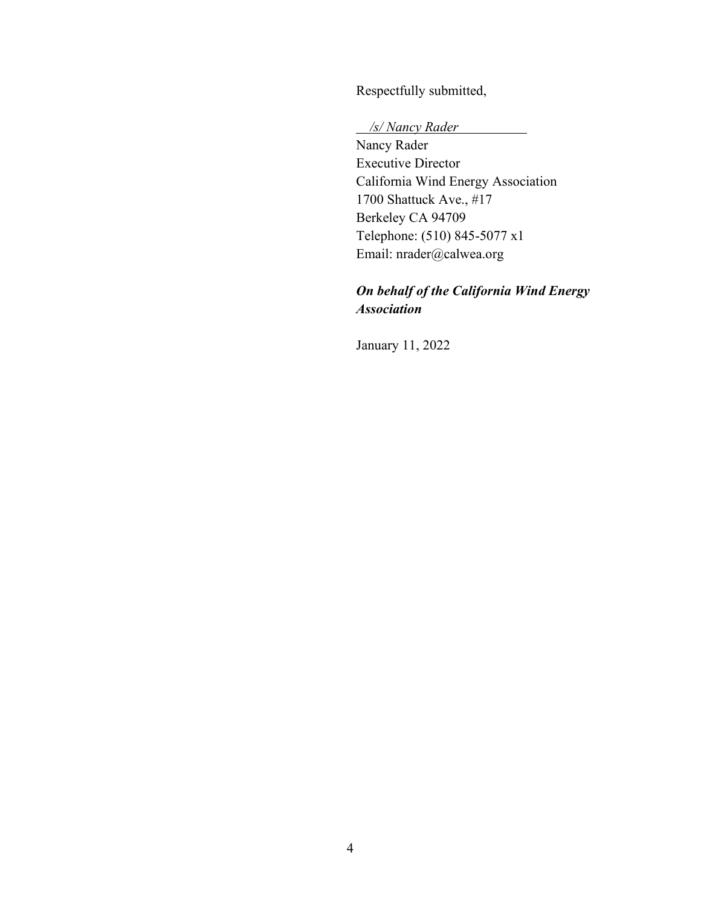Respectfully submitted,

*/s/ Nancy Rader* 

Nancy Rader Executive Director California Wind Energy Association 1700 Shattuck Ave., #17 Berkeley CA 94709 Telephone: (510) 845-5077 x1 Email: nrader@calwea.org

# *On behalf of the California Wind Energy Association*

January 11, 2022